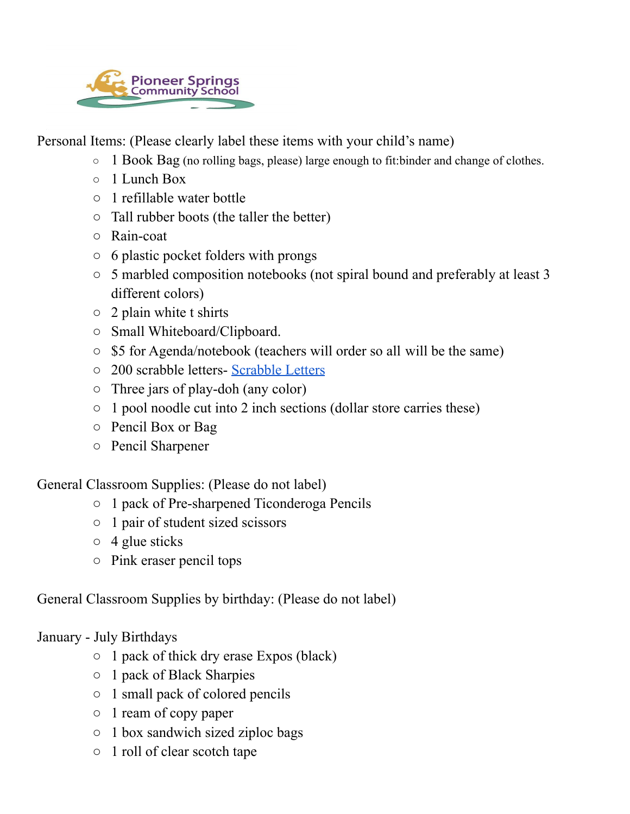

Personal Items: (Please clearly label these items with your child's name)

- 1 Book Bag (no rolling bags, please) large enough to fit:binder and change of clothes.
- 1 Lunch Box
- 1 refillable water bottle
- Tall rubber boots (the taller the better)
- Rain-coat
- 6 plastic pocket folders with prongs
- 5 marbled composition notebooks (not spiral bound and preferably at least 3 different colors)
- $\circ$  2 plain white t shirts
- Small Whiteboard/Clipboard.
- \$5 for Agenda/notebook (teachers will order so all will be the same)
- 200 scrabble letters- Scrabble Letters
- Three jars of play-doh (any color)
- 1 pool noodle cut into 2 inch sections (dollar store carries these)
- Pencil Box or Bag
- Pencil Sharpener

General Classroom Supplies: (Please do not label)

- 1 pack of Pre-sharpened Ticonderoga Pencils
- 1 pair of student sized scissors
- $\circ$  4 glue sticks
- Pink eraser pencil tops

General Classroom Supplies by birthday: (Please do not label)

## January - July Birthdays

- 1 pack of thick dry erase Expos (black)
- 1 pack of Black Sharpies
- 1 small pack of colored pencils
- 1 ream of copy paper
- 1 box sandwich sized ziploc bags
- 1 roll of clear scotch tape